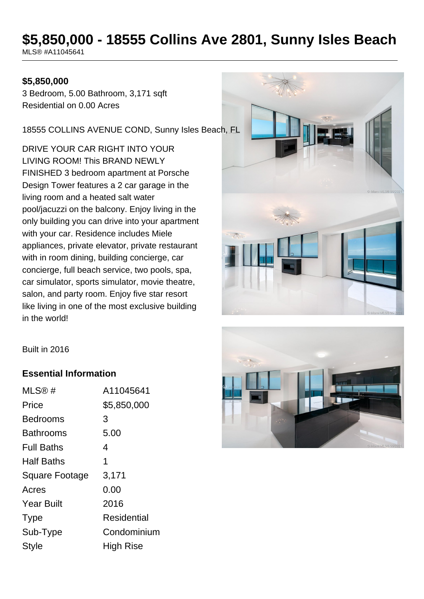# **\$5,850,000 - 18555 Collins Ave 2801, Sunny Isles Beach**

MLS® #A11045641

#### **\$5,850,000**

3 Bedroom, 5.00 Bathroom, 3,171 sqft Residential on 0.00 Acres

18555 COLLINS AVENUE COND, Sunny Isles Beach, FL

DRIVE YOUR CAR RIGHT INTO YOUR LIVING ROOM! This BRAND NEWLY FINISHED 3 bedroom apartment at Porsche Design Tower features a 2 car garage in the living room and a heated salt water pool/jacuzzi on the balcony. Enjoy living in the only building you can drive into your apartment with your car. Residence includes Miele appliances, private elevator, private restaurant with in room dining, building concierge, car concierge, full beach service, two pools, spa, car simulator, sports simulator, movie theatre, salon, and party room. Enjoy five star resort like living in one of the most exclusive building in the world!





#### **Essential Information**

| MLS@#                 | A11045641   |
|-----------------------|-------------|
| Price                 | \$5,850,000 |
| Bedrooms              | 3           |
| <b>Bathrooms</b>      | 5.00        |
| <b>Full Baths</b>     | 4           |
| <b>Half Baths</b>     | 1           |
| <b>Square Footage</b> | 3,171       |
| Acres                 | 0.00        |
| <b>Year Built</b>     | 2016        |
| <b>Type</b>           | Residential |
| Sub-Type              | Condominium |
| <b>Style</b>          | High Rise   |

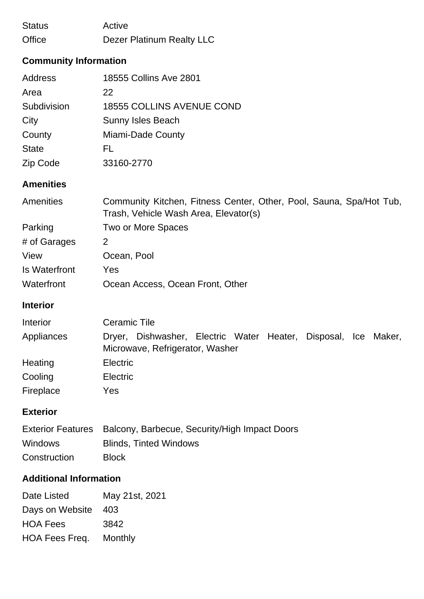| <b>Status</b> | Active                    |
|---------------|---------------------------|
| Office        | Dezer Platinum Realty LLC |

# **Community Information**

| <b>Address</b> | 18555 Collins Ave 2801           |
|----------------|----------------------------------|
| Area           | 22                               |
| Subdivision    | <b>18555 COLLINS AVENUE COND</b> |
| City           | <b>Sunny Isles Beach</b>         |
| County         | Miami-Dade County                |
| <b>State</b>   | FL.                              |
| Zip Code       | 33160-2770                       |

## **Amenities**

| <b>Amenities</b>     | Community Kitchen, Fitness Center, Other, Pool, Sauna, Spa/Hot Tub, |  |  |
|----------------------|---------------------------------------------------------------------|--|--|
|                      | Trash, Vehicle Wash Area, Elevator(s)                               |  |  |
| Parking              | Two or More Spaces                                                  |  |  |
| # of Garages         |                                                                     |  |  |
| View                 | Ocean, Pool                                                         |  |  |
| <b>Is Waterfront</b> | Yes                                                                 |  |  |
| Waterfront           | Ocean Access, Ocean Front, Other                                    |  |  |

## **Interior**

| Interior   | Ceramic Tile                                                                                      |  |  |  |  |
|------------|---------------------------------------------------------------------------------------------------|--|--|--|--|
| Appliances | Dryer, Dishwasher, Electric Water Heater, Disposal, Ice Maker,<br>Microwave, Refrigerator, Washer |  |  |  |  |
| Heating    | <b>Electric</b>                                                                                   |  |  |  |  |
| Cooling    | <b>Electric</b>                                                                                   |  |  |  |  |
| Fireplace  | Yes                                                                                               |  |  |  |  |

### **Exterior**

|                | Exterior Features Balcony, Barbecue, Security/High Impact Doors |
|----------------|-----------------------------------------------------------------|
| <b>Windows</b> | <b>Blinds, Tinted Windows</b>                                   |
| Construction   | <b>Block</b>                                                    |

## **Additional Information**

| Date Listed     | May 21st, 2021 |
|-----------------|----------------|
| Days on Website | - 403          |
| <b>HOA Fees</b> | 3842           |
| HOA Fees Freq.  | Monthly        |